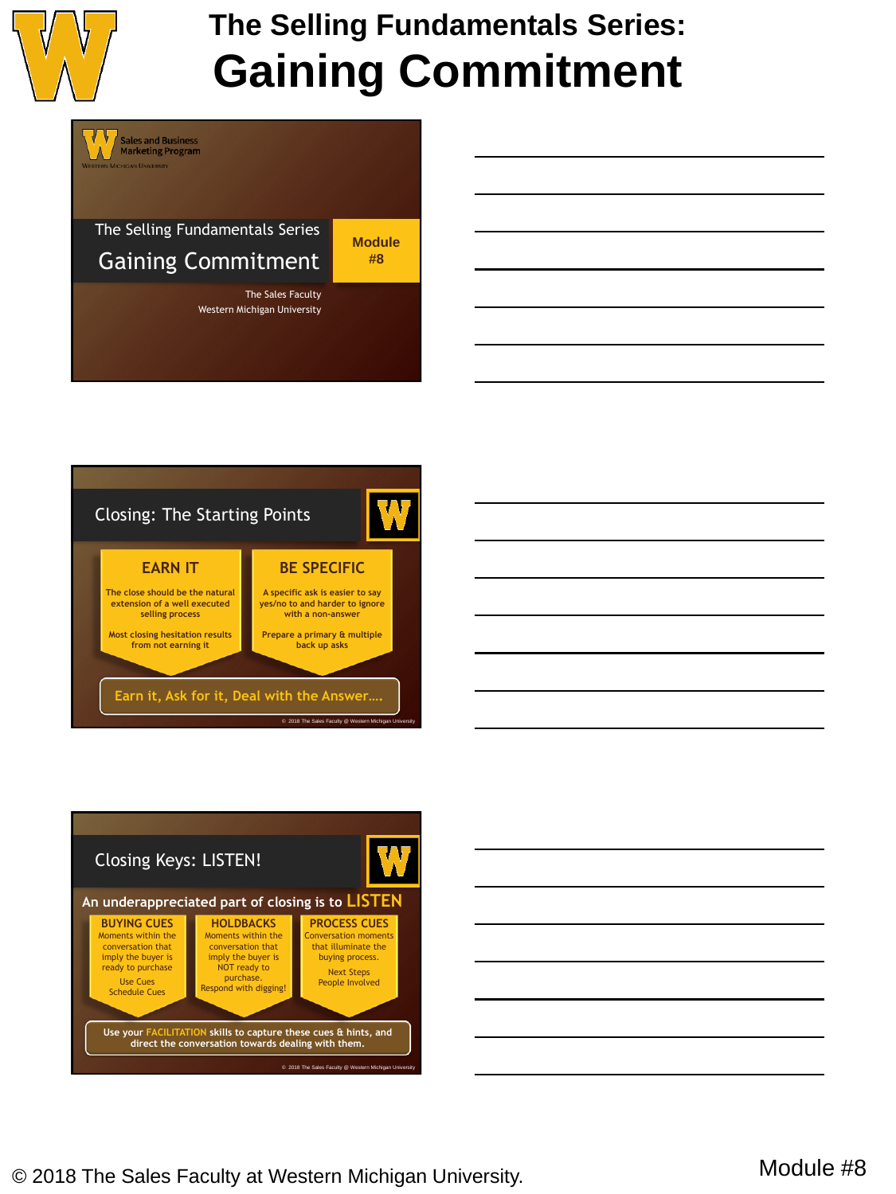









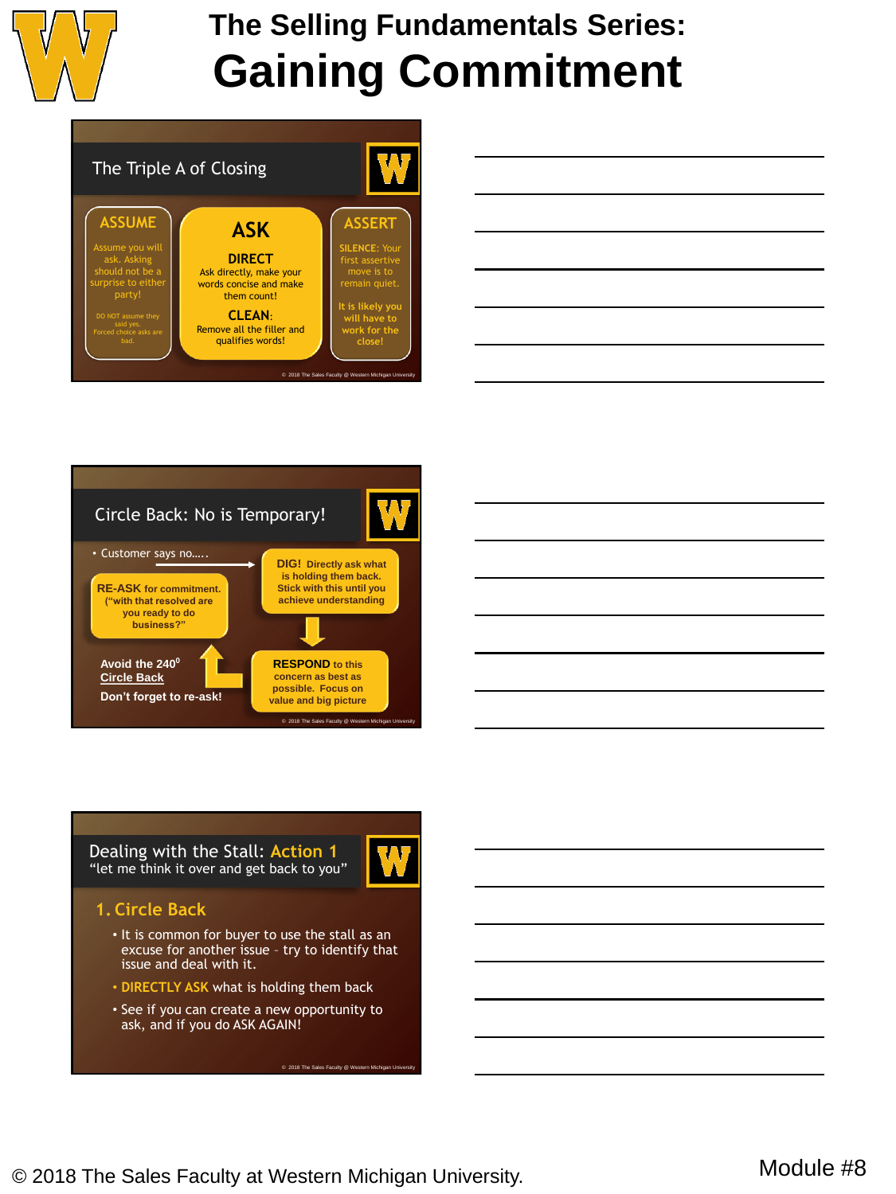



|  | <u> 1989 - Johann Stoff, amerikansk politiker (d. 1989)</u>                                                           |  |
|--|-----------------------------------------------------------------------------------------------------------------------|--|
|  | <u> 1989 - Johann Barn, amerikan bernama di sebagai bernama di sebagai bernama di sebagai bernama di sebagai ber</u>  |  |
|  | <u> 1989 - Johann Stoff, deutscher Stoffen und der Stoffen und der Stoffen und der Stoffen und der Stoffen und de</u> |  |
|  |                                                                                                                       |  |
|  | <u> 1989 - Johann Stoff, deutscher Stoffen und der Stoffen und der Stoffen und der Stoffen und der Stoffen und de</u> |  |
|  |                                                                                                                       |  |





Dealing with the Stall: **Action 1** "let me think it over and get back to you"



### **1. Circle Back**

- It is common for buyer to use the stall as an excuse for another issue – try to identify that issue and deal with it.
- **DIRECTLY ASK** what is holding them back
- See if you can create a new opportunity to ask, and if you do ASK AGAIN!

© 2018 The Sales Faculty @ W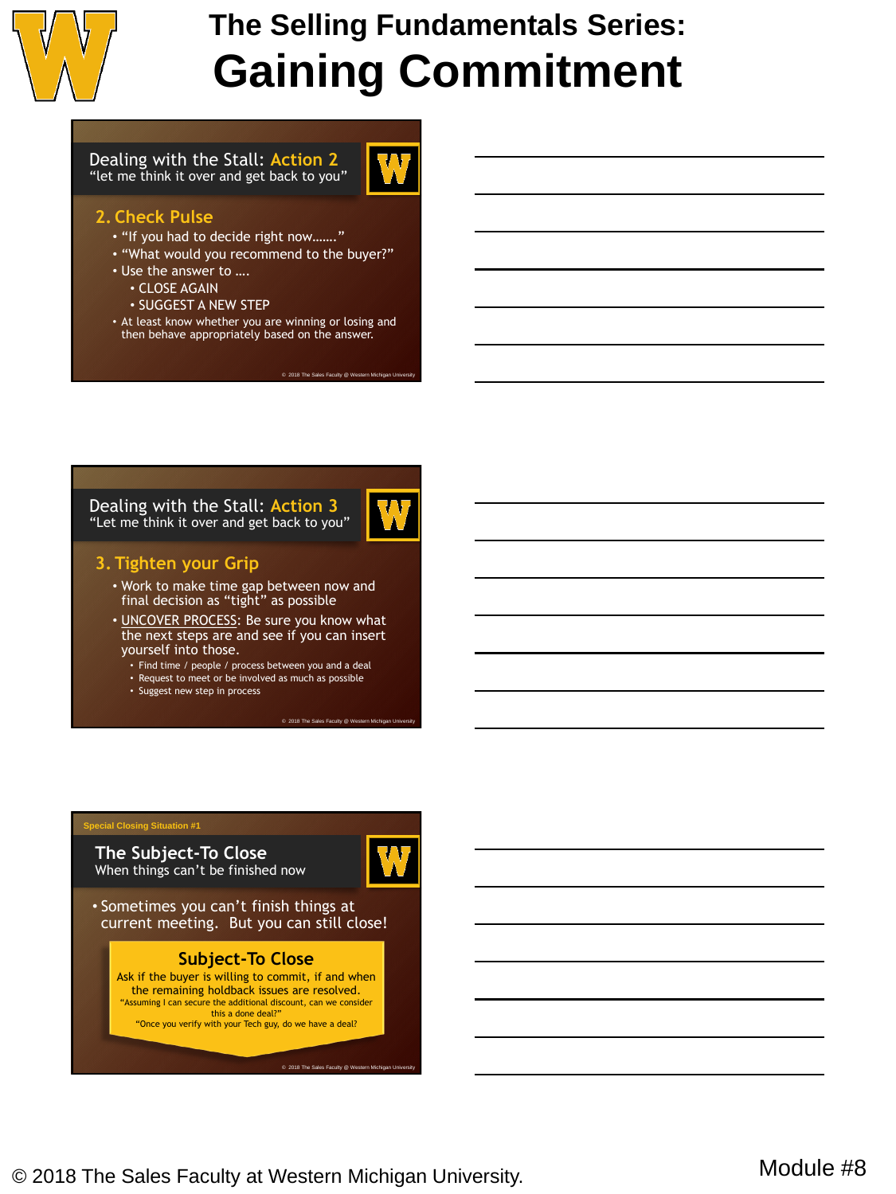

Dealing with the Stall: **Action 2** "let me think it over and get back to you"



#### **2. Check Pulse**

- "If you had to decide right now……."
- "What would you recommend to the buyer?"
- Use the answer to ….
	- CLOSE AGAIN
	- SUGGEST A NEW STEP
- At least know whether you are winning or losing and then behave appropriately based on the answer.

 $@ 2018$  The Sales Faculty  $@ W$ 

Dealing with the Stall: **Action 3** "Let me think it over and get back to you"



#### **3. Tighten your Grip**

- Work to make time gap between now and final decision as "tight" as possible
- UNCOVER PROCESS: Be sure you know what the next steps are and see if you can insert yourself into those.
	- Find time / people / process between you and a deal
	- Request to meet or be involved as much as possible
	- Suggest new step in process

#### **Special Closing Situation #1**

**The Subject-To Close** When things can't be finished now



© 2018 The Sales Faculty @ Western Michig

• Sometimes you can't finish things at current meeting. But you can still close!

#### **Subject-To Close**

Ask if the buyer is willing to commit, if and when the remaining holdback issues are resolved. "Assuming I can secure the additional discount, can we consider this a done deal?" "Once you verify with your Tech guy, do we have a deal?

© 2018 The Sales Faculty @ \